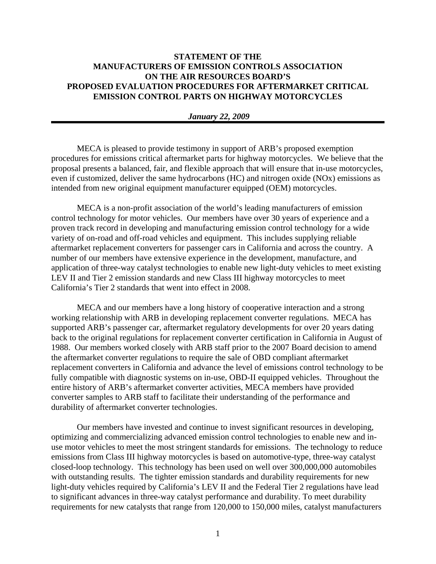## **STATEMENT OF THE MANUFACTURERS OF EMISSION CONTROLS ASSOCIATION ON THE AIR RESOURCES BOARD'S PROPOSED EVALUATION PROCEDURES FOR AFTERMARKET CRITICAL EMISSION CONTROL PARTS ON HIGHWAY MOTORCYCLES**

## *January 22, 2009*

MECA is pleased to provide testimony in support of ARB's proposed exemption procedures for emissions critical aftermarket parts for highway motorcycles. We believe that the proposal presents a balanced, fair, and flexible approach that will ensure that in-use motorcycles, even if customized, deliver the same hydrocarbons (HC) and nitrogen oxide (NOx) emissions as intended from new original equipment manufacturer equipped (OEM) motorcycles.

MECA is a non-profit association of the world's leading manufacturers of emission control technology for motor vehicles. Our members have over 30 years of experience and a proven track record in developing and manufacturing emission control technology for a wide variety of on-road and off-road vehicles and equipment. This includes supplying reliable aftermarket replacement converters for passenger cars in California and across the country. A number of our members have extensive experience in the development, manufacture, and application of three-way catalyst technologies to enable new light-duty vehicles to meet existing LEV II and Tier 2 emission standards and new Class III highway motorcycles to meet California's Tier 2 standards that went into effect in 2008.

MECA and our members have a long history of cooperative interaction and a strong working relationship with ARB in developing replacement converter regulations. MECA has supported ARB's passenger car, aftermarket regulatory developments for over 20 years dating back to the original regulations for replacement converter certification in California in August of 1988. Our members worked closely with ARB staff prior to the 2007 Board decision to amend the aftermarket converter regulations to require the sale of OBD compliant aftermarket replacement converters in California and advance the level of emissions control technology to be fully compatible with diagnostic systems on in-use, OBD-II equipped vehicles. Throughout the entire history of ARB's aftermarket converter activities, MECA members have provided converter samples to ARB staff to facilitate their understanding of the performance and durability of aftermarket converter technologies.

Our members have invested and continue to invest significant resources in developing, optimizing and commercializing advanced emission control technologies to enable new and inuse motor vehicles to meet the most stringent standards for emissions. The technology to reduce emissions from Class III highway motorcycles is based on automotive-type, three-way catalyst closed-loop technology. This technology has been used on well over 300,000,000 automobiles with outstanding results. The tighter emission standards and durability requirements for new light-duty vehicles required by California's LEV II and the Federal Tier 2 regulations have lead to significant advances in three-way catalyst performance and durability. To meet durability requirements for new catalysts that range from 120,000 to 150,000 miles, catalyst manufacturers